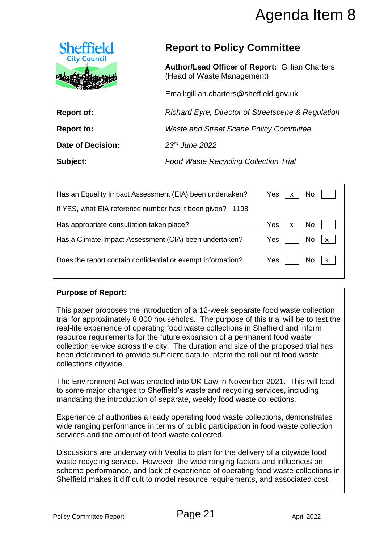

# **Report to Policy Committee**

|                                                      |                                                                                                                                                                                                                                                                                                                                                                                                                                                                                                                       | Agenda Item 8                                      |
|------------------------------------------------------|-----------------------------------------------------------------------------------------------------------------------------------------------------------------------------------------------------------------------------------------------------------------------------------------------------------------------------------------------------------------------------------------------------------------------------------------------------------------------------------------------------------------------|----------------------------------------------------|
| <b>Sheffield</b>                                     | <b>Report to Policy Committee</b>                                                                                                                                                                                                                                                                                                                                                                                                                                                                                     |                                                    |
| <b>City Council</b>                                  | <b>Author/Lead Officer of Report: Gillian Charters</b><br>(Head of Waste Management)                                                                                                                                                                                                                                                                                                                                                                                                                                  |                                                    |
|                                                      | Email:gillian.charters@sheffield.gov.uk                                                                                                                                                                                                                                                                                                                                                                                                                                                                               |                                                    |
| <b>Report of:</b>                                    |                                                                                                                                                                                                                                                                                                                                                                                                                                                                                                                       | Richard Eyre, Director of Streetscene & Regulation |
| <b>Report to:</b>                                    | <b>Waste and Street Scene Policy Committee</b>                                                                                                                                                                                                                                                                                                                                                                                                                                                                        |                                                    |
| Date of Decision:                                    | 23rd June 2022                                                                                                                                                                                                                                                                                                                                                                                                                                                                                                        |                                                    |
| Subject:                                             | <b>Food Waste Recycling Collection Trial</b>                                                                                                                                                                                                                                                                                                                                                                                                                                                                          |                                                    |
|                                                      | Has an Equality Impact Assessment (EIA) been undertaken?                                                                                                                                                                                                                                                                                                                                                                                                                                                              | Yes<br>No<br>X                                     |
| If YES, what EIA reference number has it been given? | 1198                                                                                                                                                                                                                                                                                                                                                                                                                                                                                                                  |                                                    |
| Has appropriate consultation taken place?            |                                                                                                                                                                                                                                                                                                                                                                                                                                                                                                                       | Yes<br>No<br>X                                     |
|                                                      | Has a Climate Impact Assessment (CIA) been undertaken?                                                                                                                                                                                                                                                                                                                                                                                                                                                                | Yes<br>No<br>$\pmb{\mathsf{X}}$                    |
|                                                      | Does the report contain confidential or exempt information?                                                                                                                                                                                                                                                                                                                                                                                                                                                           | Yes<br>No<br>X                                     |
| <b>Purpose of Report:</b>                            |                                                                                                                                                                                                                                                                                                                                                                                                                                                                                                                       |                                                    |
| collections citywide.                                | This paper proposes the introduction of a 12-week separate food waste collection<br>trial for approximately 8,000 households. The purpose of this trial will be to test the<br>real-life experience of operating food waste collections in Sheffield and inform<br>resource requirements for the future expansion of a permanent food waste<br>collection service across the city. The duration and size of the proposed trial has<br>been determined to provide sufficient data to inform the roll out of food waste |                                                    |
|                                                      | The Environment Act was enacted into UK Law in November 2021. This will lead<br>to some major changes to Sheffield's waste and recycling services, including<br>mandating the introduction of separate, weekly food waste collections.                                                                                                                                                                                                                                                                                |                                                    |
| services and the amount of food waste collected.     | Experience of authorities already operating food waste collections, demonstrates<br>wide ranging performance in terms of public participation in food waste collection                                                                                                                                                                                                                                                                                                                                                |                                                    |
|                                                      | Discussions are underway with Veolia to plan for the delivery of a citywide food<br>waste recycling service. However, the wide-ranging factors and influences on<br>scheme performance, and lack of experience of operating food waste collections in<br>Sheffield makes it difficult to model resource requirements, and associated cost.                                                                                                                                                                            |                                                    |
| <b>Policy Committee Report</b>                       | Page 21                                                                                                                                                                                                                                                                                                                                                                                                                                                                                                               | April 2022                                         |

#### **Purpose of Report:**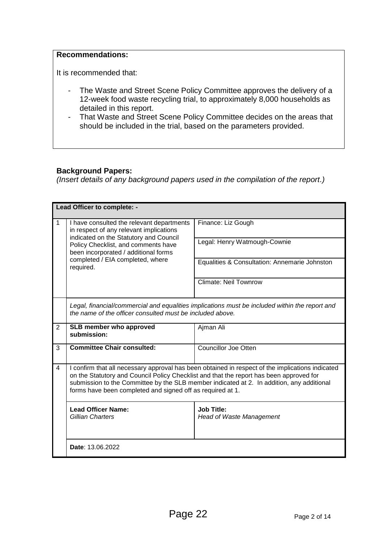#### **Recommendations:**

It is recommended that:

- The Waste and Street Scene Policy Committee approves the delivery of a 12-week food waste recycling trial, to approximately 8,000 households as detailed in this report.
- That Waste and Street Scene Policy Committee decides on the areas that should be included in the trial, based on the parameters provided.

#### **Background Papers:**

*(Insert details of any background papers used in the compilation of the report.)*

| Lead Officer to complete: - |                                                                                                                                                                                                                                                                                                                                                        |                                                      |  |
|-----------------------------|--------------------------------------------------------------------------------------------------------------------------------------------------------------------------------------------------------------------------------------------------------------------------------------------------------------------------------------------------------|------------------------------------------------------|--|
| $\mathbf{1}$                | I have consulted the relevant departments<br>in respect of any relevant implications<br>indicated on the Statutory and Council<br>Policy Checklist, and comments have<br>been incorporated / additional forms<br>completed / EIA completed, where<br>required.                                                                                         | Finance: Liz Gough                                   |  |
|                             |                                                                                                                                                                                                                                                                                                                                                        | Legal: Henry Watmough-Cownie                         |  |
|                             |                                                                                                                                                                                                                                                                                                                                                        | Equalities & Consultation: Annemarie Johnston        |  |
|                             |                                                                                                                                                                                                                                                                                                                                                        | <b>Climate: Neil Townrow</b>                         |  |
|                             | Legal, financial/commercial and equalities implications must be included within the report and<br>the name of the officer consulted must be included above.                                                                                                                                                                                            |                                                      |  |
| 2                           | SLB member who approved<br>submission:                                                                                                                                                                                                                                                                                                                 | Ajman Ali                                            |  |
| 3                           | <b>Committee Chair consulted:</b>                                                                                                                                                                                                                                                                                                                      | <b>Councillor Joe Otten</b>                          |  |
| $\overline{4}$              | I confirm that all necessary approval has been obtained in respect of the implications indicated<br>on the Statutory and Council Policy Checklist and that the report has been approved for<br>submission to the Committee by the SLB member indicated at 2. In addition, any additional<br>forms have been completed and signed off as required at 1. |                                                      |  |
|                             | <b>Lead Officer Name:</b><br>Gillian Charters                                                                                                                                                                                                                                                                                                          | <b>Job Title:</b><br><b>Head of Waste Management</b> |  |
|                             | Date: 13.06.2022                                                                                                                                                                                                                                                                                                                                       |                                                      |  |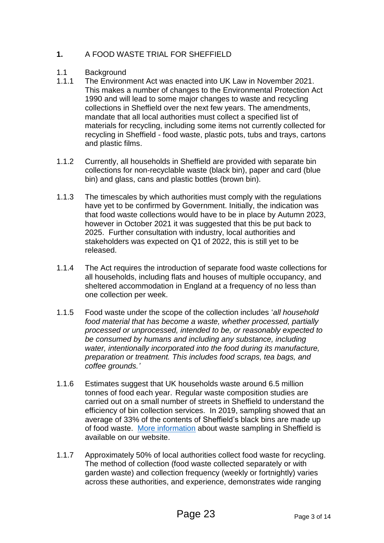### **1.** A FOOD WASTE TRIAL FOR SHEFFIELD

- 1.1 **Background**
- 1.1.1 The Environment Act was enacted into UK Law in November 2021. This makes a number of changes to the Environmental Protection Act 1990 and will lead to some major changes to waste and recycling collections in Sheffield over the next few years. The amendments, mandate that all local authorities must collect a specified list of materials for recycling, including some items not currently collected for recycling in Sheffield - food waste, plastic pots, tubs and trays, cartons and plastic films.
- 1.1.2 Currently, all households in Sheffield are provided with separate bin collections for non-recyclable waste (black bin), paper and card (blue bin) and glass, cans and plastic bottles (brown bin).
- 1.1.3 The timescales by which authorities must comply with the regulations have yet to be confirmed by Government. Initially, the indication was that food waste collections would have to be in place by Autumn 2023, however in October 2021 it was suggested that this be put back to 2025. Further consultation with industry, local authorities and stakeholders was expected on Q1 of 2022, this is still yet to be released.
- 1.1.4 The Act requires the introduction of separate food waste collections for all households, including flats and houses of multiple occupancy, and sheltered accommodation in England at a frequency of no less than one collection per week.
- 1.1.5 Food waste under the scope of the collection includes '*all household food material that has become a waste, whether processed, partially processed or unprocessed, intended to be, or reasonably expected to be consumed by humans and including any substance, including water, intentionally incorporated into the food during its manufacture, preparation or treatment. This includes food scraps, tea bags, and coffee grounds.'*
- 1.1.6 Estimates suggest that UK households waste around 6.5 million tonnes of food each year. Regular waste composition studies are carried out on a small number of streets in Sheffield to understand the efficiency of bin collection services. In 2019, sampling showed that an average of 33% of the contents of Sheffield's black bins are made up of food waste. [More information](https://www.sheffield.gov.uk/home/bins-recycling-services/waste-analysis) about waste sampling in Sheffield is available on our website.
- 1.1.7 Approximately 50% of local authorities collect food waste for recycling. The method of collection (food waste collected separately or with garden waste) and collection frequency (weekly or fortnightly) varies across these authorities, and experience, demonstrates wide ranging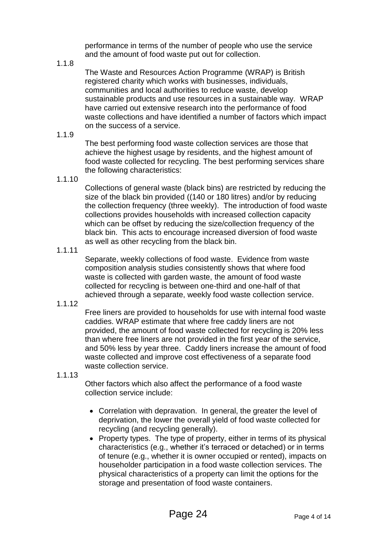performance in terms of the number of people who use the service and the amount of food waste put out for collection.

1.1.8

The Waste and Resources Action Programme (WRAP) is British registered charity which works with businesses, individuals, communities and local authorities to reduce waste, develop sustainable products and use resources in a sustainable way. WRAP have carried out extensive research into the performance of food waste collections and have identified a number of factors which impact on the success of a service.

1.1.9

The best performing food waste collection services are those that achieve the highest usage by residents, and the highest amount of food waste collected for recycling. The best performing services share the following characteristics:

1.1.10

Collections of general waste (black bins) are restricted by reducing the size of the black bin provided ((140 or 180 litres) and/or by reducing the collection frequency (three weekly). The introduction of food waste collections provides households with increased collection capacity which can be offset by reducing the size/collection frequency of the black bin. This acts to encourage increased diversion of food waste as well as other recycling from the black bin.

1.1.11

Separate, weekly collections of food waste. Evidence from waste composition analysis studies consistently shows that where food waste is collected with garden waste, the amount of food waste collected for recycling is between one-third and one-half of that achieved through a separate, weekly food waste collection service.

1.1.12

Free liners are provided to households for use with internal food waste caddies. WRAP estimate that where free caddy liners are not provided, the amount of food waste collected for recycling is 20% less than where free liners are not provided in the first year of the service, and 50% less by year three. Caddy liners increase the amount of food waste collected and improve cost effectiveness of a separate food waste collection service.

1.1.13

Other factors which also affect the performance of a food waste collection service include:

- Correlation with depravation. In general, the greater the level of deprivation, the lower the overall yield of food waste collected for recycling (and recycling generally).
- Property types. The type of property, either in terms of its physical characteristics (e.g., whether it's terraced or detached) or in terms of tenure (e.g., whether it is owner occupied or rented), impacts on householder participation in a food waste collection services. The physical characteristics of a property can limit the options for the storage and presentation of food waste containers.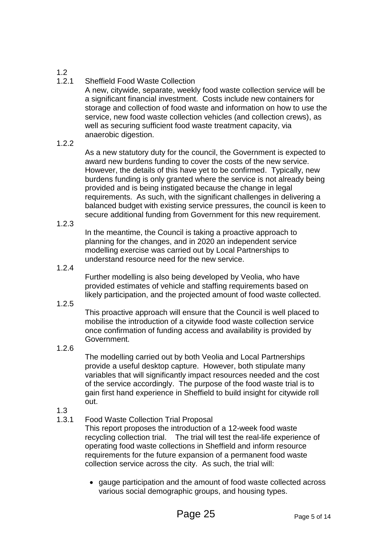1.2

#### 1.2.1 Sheffield Food Waste Collection

A new, citywide, separate, weekly food waste collection service will be a significant financial investment. Costs include new containers for storage and collection of food waste and information on how to use the service, new food waste collection vehicles (and collection crews), as well as securing sufficient food waste treatment capacity, via anaerobic digestion.

#### 1.2.2

As a new statutory duty for the council, the Government is expected to award new burdens funding to cover the costs of the new service. However, the details of this have yet to be confirmed. Typically, new burdens funding is only granted where the service is not already being provided and is being instigated because the change in legal requirements. As such, with the significant challenges in delivering a balanced budget with existing service pressures, the council is keen to secure additional funding from Government for this new requirement.

1.2.3

In the meantime, the Council is taking a proactive approach to planning for the changes, and in 2020 an independent service modelling exercise was carried out by Local Partnerships to understand resource need for the new service.

1.2.4

Further modelling is also being developed by Veolia, who have provided estimates of vehicle and staffing requirements based on likely participation, and the projected amount of food waste collected.

1.2.5

This proactive approach will ensure that the Council is well placed to mobilise the introduction of a citywide food waste collection service once confirmation of funding access and availability is provided by Government.

1.2.6

The modelling carried out by both Veolia and Local Partnerships provide a useful desktop capture. However, both stipulate many variables that will significantly impact resources needed and the cost of the service accordingly. The purpose of the food waste trial is to gain first hand experience in Sheffield to build insight for citywide roll out.

- 1.3
- 1.3.1 Food Waste Collection Trial Proposal

This report proposes the introduction of a 12-week food waste recycling collection trial. The trial will test the real-life experience of operating food waste collections in Sheffield and inform resource requirements for the future expansion of a permanent food waste collection service across the city. As such, the trial will:

 gauge participation and the amount of food waste collected across various social demographic groups, and housing types.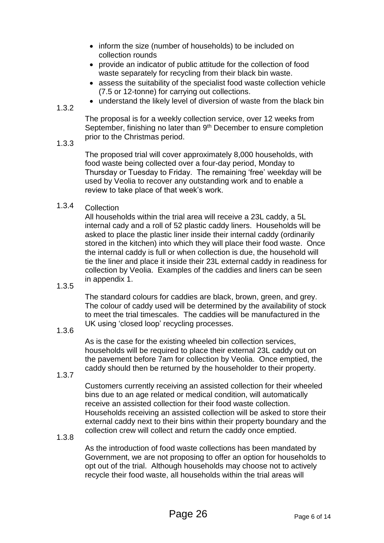- inform the size (number of households) to be included on collection rounds
- provide an indicator of public attitude for the collection of food waste separately for recycling from their black bin waste.
- assess the suitability of the specialist food waste collection vehicle (7.5 or 12-tonne) for carrying out collections.
- understand the likely level of diversion of waste from the black bin

1.3.2

The proposal is for a weekly collection service, over 12 weeks from September, finishing no later than 9<sup>th</sup> December to ensure completion prior to the Christmas period.

#### 1.3.3

The proposed trial will cover approximately 8,000 households, with food waste being collected over a four-day period, Monday to Thursday or Tuesday to Friday. The remaining 'free' weekday will be used by Veolia to recover any outstanding work and to enable a review to take place of that week's work.

#### 1.3.4 Collection

All households within the trial area will receive a 23L caddy, a 5L internal cady and a roll of 52 plastic caddy liners. Households will be asked to place the plastic liner inside their internal caddy (ordinarily stored in the kitchen) into which they will place their food waste. Once the internal caddy is full or when collection is due, the household will tie the liner and place it inside their 23L external caddy in readiness for collection by Veolia. Examples of the caddies and liners can be seen in appendix 1.

1.3.5

The standard colours for caddies are black, brown, green, and grey. The colour of caddy used will be determined by the availability of stock to meet the trial timescales. The caddies will be manufactured in the UK using 'closed loop' recycling processes.

#### 1.3.6

As is the case for the existing wheeled bin collection services, households will be required to place their external 23L caddy out on the pavement before 7am for collection by Veolia. Once emptied, the caddy should then be returned by the householder to their property.

1.3.7

Customers currently receiving an assisted collection for their wheeled bins due to an age related or medical condition, will automatically receive an assisted collection for their food waste collection. Households receiving an assisted collection will be asked to store their external caddy next to their bins within their property boundary and the collection crew will collect and return the caddy once emptied.

#### 1.3.8

As the introduction of food waste collections has been mandated by Government, we are not proposing to offer an option for households to opt out of the trial. Although households may choose not to actively recycle their food waste, all households within the trial areas will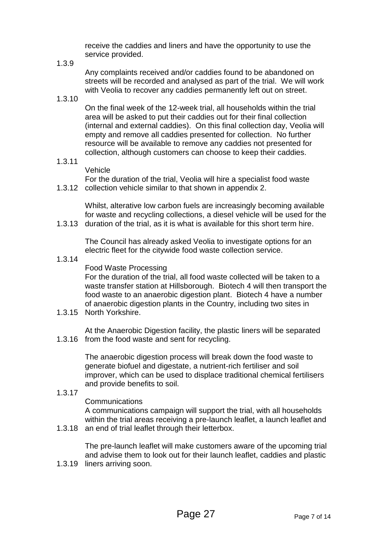receive the caddies and liners and have the opportunity to use the service provided.

1.3.9

Any complaints received and/or caddies found to be abandoned on streets will be recorded and analysed as part of the trial. We will work with Veolia to recover any caddies permanently left out on street.

1.3.10

On the final week of the 12-week trial, all households within the trial area will be asked to put their caddies out for their final collection (internal and external caddies). On this final collection day, Veolia will empty and remove all caddies presented for collection. No further resource will be available to remove any caddies not presented for collection, although customers can choose to keep their caddies.

1.3.11

Vehicle

1.3.12 collection vehicle similar to that shown in appendix 2. For the duration of the trial, Veolia will hire a specialist food waste

Whilst, alterative low carbon fuels are increasingly becoming available for waste and recycling collections, a diesel vehicle will be used for the

1.3.13 duration of the trial, as it is what is available for this short term hire.

The Council has already asked Veolia to investigate options for an electric fleet for the citywide food waste collection service.

1.3.14

Food Waste Processing

For the duration of the trial, all food waste collected will be taken to a waste transfer station at Hillsborough. Biotech 4 will then transport the food waste to an anaerobic digestion plant. Biotech 4 have a number of anaerobic digestion plants in the Country, including two sites in

1.3.15 North Yorkshire.

1.3.16 from the food waste and sent for recycling. At the Anaerobic Digestion facility, the plastic liners will be separated

> The anaerobic digestion process will break down the food waste to generate biofuel and digestate, a nutrient-rich fertiliser and soil improver, which can be used to displace traditional chemical fertilisers and provide benefits to soil.

1.3.17

#### Communications

A communications campaign will support the trial, with all households within the trial areas receiving a pre-launch leaflet, a launch leaflet and

1.3.18 an end of trial leaflet through their letterbox.

The pre-launch leaflet will make customers aware of the upcoming trial and advise them to look out for their launch leaflet, caddies and plastic

1.3.19 liners arriving soon.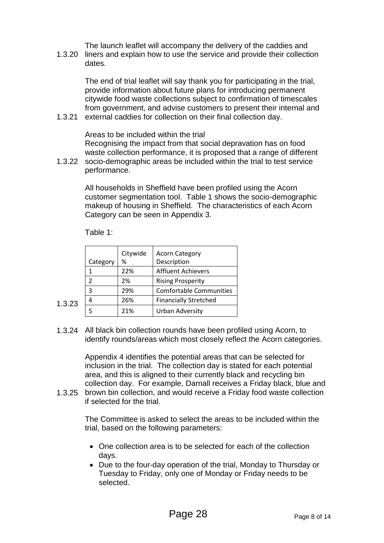The launch leaflet will accompany the delivery of the caddies and

1.3.20 liners and explain how to use the service and provide their collection dates.

The end of trial leaflet will say thank you for participating in the trial, provide information about future plans for introducing permanent citywide food waste collections subject to confirmation of timescales from government, and advise customers to present their internal and

1.3.21 external caddies for collection on their final collection day.

Areas to be included within the trial Recognising the impact from that social depravation has on food waste collection performance, it is proposed that a range of different

1.3.22 socio-demographic areas be included within the trial to test service performance.

> All households in Sheffield have been profiled using the Acorn customer segmentation tool. Table 1 shows the socio-demographic makeup of housing in Sheffield. The characteristics of each Acorn Category can be seen in Appendix 3.

Table 1:

|        |          | Citywide | <b>Acorn Category</b>          |
|--------|----------|----------|--------------------------------|
|        | Category | %        | Description                    |
|        |          | 22%      | <b>Affluent Achievers</b>      |
|        | 2        | 2%       | <b>Rising Prosperity</b>       |
|        | 3        | 29%      | <b>Comfortable Communities</b> |
| 1.3.23 | 4        | 26%      | <b>Financially Stretched</b>   |
|        |          | 21%      | Urban Adversity                |

1.3.24 All black bin collection rounds have been profiled using Acorn, to identify rounds/areas which most closely reflect the Acorn categories.

> Appendix 4 identifies the potential areas that can be selected for inclusion in the trial. The collection day is stated for each potential area, and this is aligned to their currently black and recycling bin collection day. For example, Darnall receives a Friday black, blue and

1.3.25 brown bin collection, and would receive a Friday food waste collection if selected for the trial.

> The Committee is asked to select the areas to be included within the trial, based on the following parameters:

- One collection area is to be selected for each of the collection days.
- Due to the four-day operation of the trial, Monday to Thursday or Tuesday to Friday, only one of Monday or Friday needs to be selected.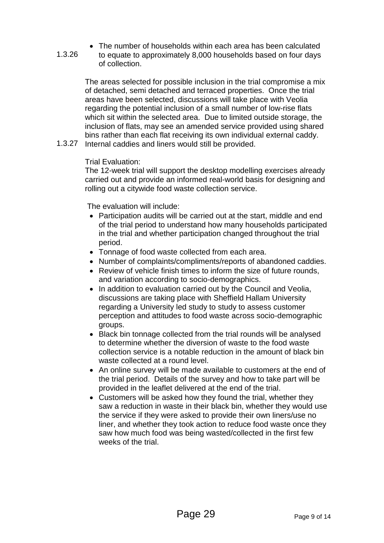The number of households within each area has been calculated to equate to approximately 8,000 households based on four days of collection.

The areas selected for possible inclusion in the trial compromise a mix of detached, semi detached and terraced properties. Once the trial areas have been selected, discussions will take place with Veolia regarding the potential inclusion of a small number of low-rise flats which sit within the selected area. Due to limited outside storage, the inclusion of flats, may see an amended service provided using shared bins rather than each flat receiving its own individual external caddy.

1.3.27 Internal caddies and liners would still be provided.

#### Trial Evaluation:

1.3.26

The 12-week trial will support the desktop modelling exercises already carried out and provide an informed real-world basis for designing and rolling out a citywide food waste collection service.

The evaluation will include:

- Participation audits will be carried out at the start, middle and end of the trial period to understand how many households participated in the trial and whether participation changed throughout the trial period.
- Tonnage of food waste collected from each area.
- Number of complaints/compliments/reports of abandoned caddies.
- Review of vehicle finish times to inform the size of future rounds, and variation according to socio-demographics.
- In addition to evaluation carried out by the Council and Veolia, discussions are taking place with Sheffield Hallam University regarding a University led study to study to assess customer perception and attitudes to food waste across socio-demographic groups.
- Black bin tonnage collected from the trial rounds will be analysed to determine whether the diversion of waste to the food waste collection service is a notable reduction in the amount of black bin waste collected at a round level.
- An online survey will be made available to customers at the end of the trial period. Details of the survey and how to take part will be provided in the leaflet delivered at the end of the trial.
- Customers will be asked how they found the trial, whether they saw a reduction in waste in their black bin, whether they would use the service if they were asked to provide their own liners/use no liner, and whether they took action to reduce food waste once they saw how much food was being wasted/collected in the first few weeks of the trial.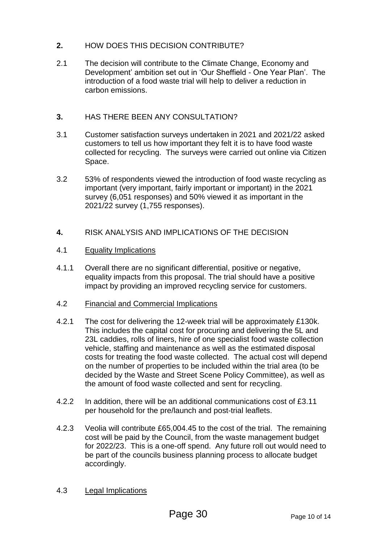#### **2.** HOW DOES THIS DECISION CONTRIBUTE?

2.1 The decision will contribute to the Climate Change, Economy and Development' ambition set out in 'Our Sheffield - One Year Plan'. The introduction of a food waste trial will help to deliver a reduction in carbon emissions.

#### **3.** HAS THERE BEEN ANY CONSULTATION?

- 3.1 Customer satisfaction surveys undertaken in 2021 and 2021/22 asked customers to tell us how important they felt it is to have food waste collected for recycling. The surveys were carried out online via Citizen Space.
- 3.2 53% of respondents viewed the introduction of food waste recycling as important (very important, fairly important or important) in the 2021 survey (6,051 responses) and 50% viewed it as important in the 2021/22 survey (1,755 responses).
- **4.** RISK ANALYSIS AND IMPLICATIONS OF THE DECISION

#### 4.1 Equality Implications

4.1.1 Overall there are no significant differential, positive or negative, equality impacts from this proposal. The trial should have a positive impact by providing an improved recycling service for customers.

#### 4.2 Financial and Commercial Implications

- 4.2.1 The cost for delivering the 12-week trial will be approximately £130k. This includes the capital cost for procuring and delivering the 5L and 23L caddies, rolls of liners, hire of one specialist food waste collection vehicle, staffing and maintenance as well as the estimated disposal costs for treating the food waste collected. The actual cost will depend on the number of properties to be included within the trial area (to be decided by the Waste and Street Scene Policy Committee), as well as the amount of food waste collected and sent for recycling.
- 4.2.2 In addition, there will be an additional communications cost of £3.11 per household for the pre/launch and post-trial leaflets.
- 4.2.3 Veolia will contribute £65,004.45 to the cost of the trial. The remaining cost will be paid by the Council, from the waste management budget for 2022/23. This is a one-off spend. Any future roll out would need to be part of the councils business planning process to allocate budget accordingly.

#### 4.3 Legal Implications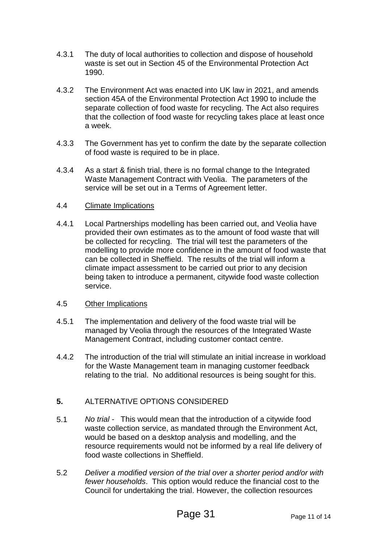- 4.3.1 The duty of local authorities to collection and dispose of household waste is set out in Section 45 of the Environmental Protection Act 1990.
- 4.3.2 The Environment Act was enacted into UK law in 2021, and amends section 45A of the Environmental Protection Act 1990 to include the separate collection of food waste for recycling. The Act also requires that the collection of food waste for recycling takes place at least once a week.
- 4.3.3 The Government has yet to confirm the date by the separate collection of food waste is required to be in place.
- 4.3.4 As a start & finish trial, there is no formal change to the Integrated Waste Management Contract with Veolia. The parameters of the service will be set out in a Terms of Agreement letter.

#### 4.4 Climate Implications

4.4.1 Local Partnerships modelling has been carried out, and Veolia have provided their own estimates as to the amount of food waste that will be collected for recycling. The trial will test the parameters of the modelling to provide more confidence in the amount of food waste that can be collected in Sheffield. The results of the trial will inform a climate impact assessment to be carried out prior to any decision being taken to introduce a permanent, citywide food waste collection service.

#### 4.5 Other Implications

- 4.5.1 The implementation and delivery of the food waste trial will be managed by Veolia through the resources of the Integrated Waste Management Contract, including customer contact centre.
- 4.4.2 The introduction of the trial will stimulate an initial increase in workload for the Waste Management team in managing customer feedback relating to the trial. No additional resources is being sought for this.

#### **5.** ALTERNATIVE OPTIONS CONSIDERED

- 5.1 *No trial -* This would mean that the introduction of a citywide food waste collection service, as mandated through the Environment Act, would be based on a desktop analysis and modelling, and the resource requirements would not be informed by a real life delivery of food waste collections in Sheffield.
- 5.2 *Deliver a modified version of the trial over a shorter period and/or with fewer households*. This option would reduce the financial cost to the Council for undertaking the trial. However, the collection resources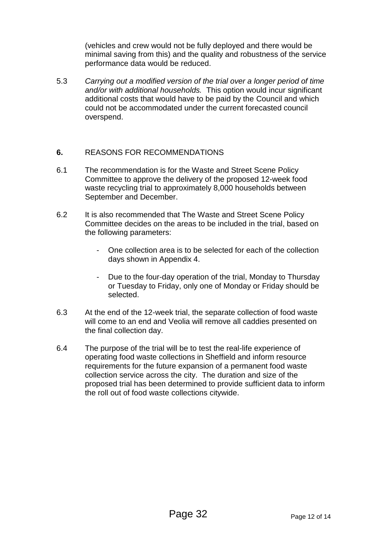(vehicles and crew would not be fully deployed and there would be minimal saving from this) and the quality and robustness of the service performance data would be reduced.

5.3 *Carrying out a modified version of the trial over a longer period of time and/or with additional households.* This option would incur significant additional costs that would have to be paid by the Council and which could not be accommodated under the current forecasted council overspend.

#### **6.** REASONS FOR RECOMMENDATIONS

- 6.1 The recommendation is for the Waste and Street Scene Policy Committee to approve the delivery of the proposed 12-week food waste recycling trial to approximately 8,000 households between September and December.
- 6.2 It is also recommended that The Waste and Street Scene Policy Committee decides on the areas to be included in the trial, based on the following parameters:
	- One collection area is to be selected for each of the collection days shown in Appendix 4.
	- Due to the four-day operation of the trial, Monday to Thursday or Tuesday to Friday, only one of Monday or Friday should be selected.
- 6.3 At the end of the 12-week trial, the separate collection of food waste will come to an end and Veolia will remove all caddies presented on the final collection day.
- 6.4 The purpose of the trial will be to test the real-life experience of operating food waste collections in Sheffield and inform resource requirements for the future expansion of a permanent food waste collection service across the city. The duration and size of the proposed trial has been determined to provide sufficient data to inform the roll out of food waste collections citywide.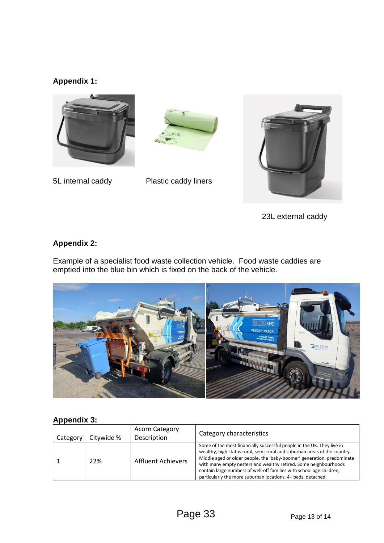## **Appendix 1:**





5L internal caddy Plastic caddy liners



23L external caddy

### **Appendix 2:**

Example of a specialist food waste collection vehicle. Food waste caddies are emptied into the blue bin which is fixed on the back of the vehicle.



### **Appendix 3:**

| Category | Citywide % | <b>Acorn Category</b><br>Description | Category characteristics                                                                                                                                                                                                                                                                                                                                                                                                                  |
|----------|------------|--------------------------------------|-------------------------------------------------------------------------------------------------------------------------------------------------------------------------------------------------------------------------------------------------------------------------------------------------------------------------------------------------------------------------------------------------------------------------------------------|
|          | 22%        | Affluent Achievers                   | Some of the most financially successful people in the UK. They live in<br>wealthy, high status rural, semi-rural and suburban areas of the country.<br>Middle aged or older people, the 'baby-boomer' generation, predominate<br>with many empty nesters and wealthy retired. Some neighbourhoods<br>contain large numbers of well-off families with school age children,<br>particularly the more suburban locations. 4+ beds, detached. |